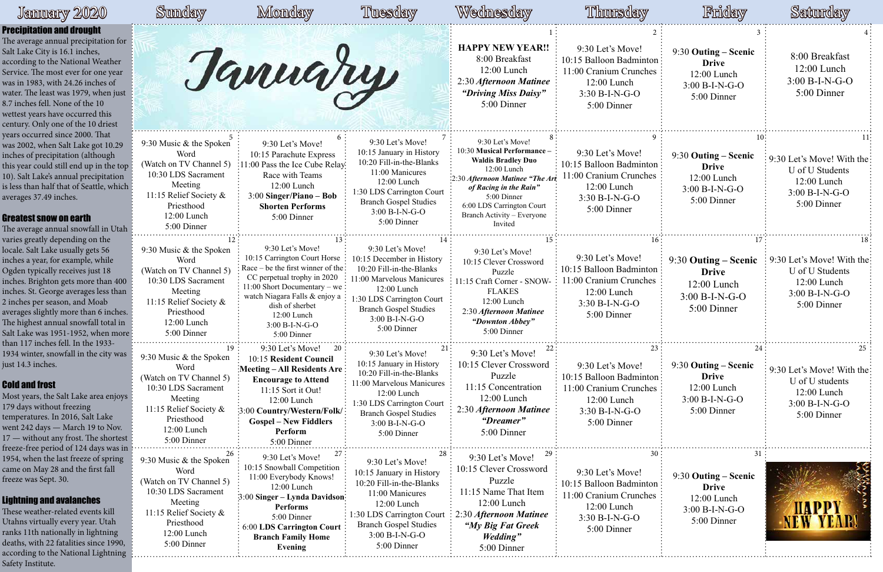# January 2020

|                                 | Sunday                                                                                                                                                                    | Monday                                                                                                                                                                                                                                                       | Tuesday                                                                                                                                                                                                                    | Wednesday                                                                                                                                                                                                                                      | Thursday                                                                                                                   | Friday                                                                                         | Saturday                                                                                        |
|---------------------------------|---------------------------------------------------------------------------------------------------------------------------------------------------------------------------|--------------------------------------------------------------------------------------------------------------------------------------------------------------------------------------------------------------------------------------------------------------|----------------------------------------------------------------------------------------------------------------------------------------------------------------------------------------------------------------------------|------------------------------------------------------------------------------------------------------------------------------------------------------------------------------------------------------------------------------------------------|----------------------------------------------------------------------------------------------------------------------------|------------------------------------------------------------------------------------------------|-------------------------------------------------------------------------------------------------|
| for<br>ıst                      |                                                                                                                                                                           | Tannary                                                                                                                                                                                                                                                      |                                                                                                                                                                                                                            | <b>HAPPY NEW YEAR!!</b><br>8:00 Breakfast<br>12:00 Lunch<br>2:30 Afternoon Matinee<br>"Driving Miss Daisy"<br>5:00 Dinner                                                                                                                      | 9:30 Let's Move!<br>10:15 Balloon Badminton:<br>11:00 Cranium Crunches<br>$12:00$ Lunch<br>$3:30 B-I-N-G-O$<br>5:00 Dinner | 9:30 Outing - Scenic<br><b>Drive</b><br>$12:00$ Lunch<br>$3:00 B-I-N-G-O$<br>5:00 Dinner       | 8:00 Breakfast<br>12:00 Lunch<br>3:00 B-I-N-G-O<br>5:00 Dinner                                  |
| top i<br>ich                    | 9:30 Music & the Spoken<br>Word<br>(Watch on TV Channel 5)<br>10:30 LDS Sacrament<br>Meeting<br>11:15 Relief Society &<br>Priesthood<br>12:00 Lunch<br>5:00 Dinner        | 9:30 Let's Move!<br>10:15 Parachute Express<br>:11:00 Pass the Ice Cube Relay.<br>Race with Teams<br>12:00 Lunch<br>$3:00$ Singer/Piano – Bob<br><b>Shorten Performs</b><br>5:00 Dinner                                                                      | 9:30 Let's Move!<br>10:15 January in History<br>10:20 Fill-in-the-Blanks<br>11:00 Manicures<br>12:00 Lunch<br>1:30 LDS Carrington Court<br><b>Branch Gospel Studies</b><br>3:00 B-I-N-G-O<br>5:00 Dinner                   | 9:30 Let's Move!<br>10:30 Musical Performance -<br><b>Waldis Bradley Duo</b><br>12:00 Lunch<br>:2:30 Afternoon Matinee "The Art<br>of Racing in the Rain"<br>5:00 Dinner<br>6:00 LDS Carrington Court<br>Branch Activity – Everyone<br>Invited | 9:30 Let's Move!<br>10:15 Balloon Badminton:<br>11:00 Cranium Crunches<br>$12:00$ Lunch<br>$3:30 B-I-N-G-O$<br>5:00 Dinner | 9:30 Outing - Scenic<br><b>Drive</b><br>12:00 Lunch<br>$3:00 B-I-N-G-O$<br>5:00 Dinner         | 9:30 Let's Move! With the<br>U of U Students<br>12:00 Lunch<br>3:00 B-I-N-G-O<br>5:00 Dinner    |
| 00<br>an<br>ies.<br>in<br>ore : | 9:30 Music & the Spoken<br>Word<br>(Watch on TV Channel 5)<br>10:30 LDS Sacrament<br>Meeting<br>11:15 Relief Society &<br>Priesthood<br>12:00 Lunch<br>5:00 Dinner        | 9:30 Let's Move!<br>10:15 Carrington Court Horse<br>Race – be the first winner of the:<br>CC perpetual trophy in 2020<br>11:00 Short Documentary – we:<br>watch Niagara Falls & enjoy a<br>dish of sherbet<br>12:00 Lunch<br>$3:00 B-I-N-G-O$<br>5:00 Dinner | 9:30 Let's Move!<br>10:15 December in History<br>10:20 Fill-in-the-Blanks<br>11:00 Marvelous Manicures<br>12:00 Lunch<br>1:30 LDS Carrington Court<br><b>Branch Gospel Studies</b><br>3:00 B-I-N-G-O<br>5:00 Dinner        | 9:30 Let's Move!<br>10:15 Clever Crossword<br>Puzzle<br>1:15 Craft Corner - SNOW-<br><b>FLAKES</b><br>12:00 Lunch<br>2:30 Afternoon Matinee<br>"Downton Abbey"<br>5:00 Dinner                                                                  | 9:30 Let's Move!<br>10:15 Balloon Badminton<br>11:00 Cranium Crunches<br>12:00 Lunch<br>$3:30 B-I-N-G-O$<br>5:00 Dinner    | 9:30 Outing – Scenic<br><b>Drive</b><br>12:00 Lunch<br>3:00 B-I-N-G-O<br>5:00 Dinner           | 9:30 Let's Move! With the:<br>U of U Students<br>12:00 Lunch<br>3:00 B-I-N-G-O<br>5:00 Dinner   |
| zas<br>oys<br>est               | 19:<br>9:30 Music & the Spoken<br>Word<br>(Watch on TV Channel 5)<br>10:30 LDS Sacrament<br>Meeting<br>11:15 Relief Society &<br>Priesthood<br>12:00 Lunch<br>5:00 Dinner | 9:30 Let's Move!<br>20:<br>10:15 Resident Council<br>Meeting - All Residents Are:<br><b>Encourage to Attend</b><br>11:15 Sort it Out!<br>12:00 Lunch<br>[3:00 Country/Western/Folk/<br><b>Gospel – New Fiddlers</b><br>Perform<br>5:00 Dinner                | 21:<br>9:30 Let's Move!<br>10:15 January in History<br>10:20 Fill-in-the-Blanks<br>11:00 Marvelous Manicures<br>$12:00$ Lunch<br>:30 LDS Carrington Court<br><b>Branch Gospel Studies</b><br>3:00 B-I-N-G-O<br>5:00 Dinner | 9:30 Let's Move!<br>10:15 Clever Crossword<br>Puzzle<br>11:15 Concentration<br>12:00 Lunch<br>2:30 Afternoon Matinee<br>"Dreamer"<br>5:00 Dinner                                                                                               | 9:30 Let's Move!<br>10:15 Balloon Badminton:<br>11:00 Cranium Crunches<br>12:00 Lunch<br>3:30 B-I-N-G-O<br>5:00 Dinner     | 24<br>$9:30$ Outing – Scenic<br><b>Drive</b><br>12:00 Lunch<br>$3:00 B-I-N-G-O$<br>5:00 Dinner | 9:30 Let's Move! With the:<br>U of U students<br>12:00 Lunch<br>$3:00 B-I-N-G-O$<br>5:00 Dinner |
| sin<br>ıg<br>0,                 | 26<br>9:30 Music & the Spoken<br>Word<br>(Watch on TV Channel 5)<br>10:30 LDS Sacrament<br>Meeting<br>11:15 Relief Society &<br>Priesthood<br>12:00 Lunch<br>5:00 Dinner  | 27<br>9:30 Let's Move!<br>10:15 Snowball Competition<br>11:00 Everybody Knows!<br>12:00 Lunch<br>3:00 Singer – Lynda Davidson:<br>Performs<br>5:00 Dinner<br><b>6:00 LDS Carrington Court</b><br><b>Branch Family Home</b><br>Evening                        | 28<br>9:30 Let's Move!<br>10:15 January in History<br>10:20 Fill-in-the-Blanks<br>11:00 Manicures<br>12:00 Lunch<br>1:30 LDS Carrington Court<br><b>Branch Gospel Studies</b><br>3:00 B-I-N-G-O<br>5:00 Dinner             | 9:30 Let's Move!<br>10:15 Clever Crossword<br>Puzzle<br>11:15 Name That Item<br>12:00 Lunch<br>2:30 Afternoon Matinee<br>"My Big Fat Greek"<br><b>Wedding</b> "<br>5:00 Dinner                                                                 | 9:30 Let's Move!<br>10:15 Balloon Badminton:<br>11:00 Cranium Crunches<br>12:00 Lunch<br>$3:30 B-I-N-G-O$<br>5:00 Dinner   | 9:30 Outing – Scenic<br><b>Drive</b><br>12:00 Lunch<br>3:00 B-I-N-G-O<br>5:00 Dinner           |                                                                                                 |

The average annual precipitation Salt Lake City is 16.1 inches, according to the National Weathe Service. The most ever for one year was in 1983, with 24.26 inches of water. The least was 1979, when just 8.7 inches fell. None of the 10 wettest years have occurred this century. Only one of the 10 driest years occurred since 2000. That was 2002, when Salt Lake got 10.2 inches of precipitation (although this year could still end up in the 10). Salt Lake's annual precipitation is less than half that of Seattle, wh averages 37.49 inches.

The average annual snowfall in Ut varies greatly depending on the locale. Salt Lake usually gets 56 inches a year, for example, while Ogden typically receives just 18 inches. Brighton gets more than 4 inches. St. George averages less th 2 inches per season, and Moab averages slightly more than 6 inch The highest annual snowfall total Salt Lake was 1951-1952, when m than 117 inches fell. In the 1933- 1934 winter, snowfall in the city w just 14.3 inches.

Most years, the Salt Lake area enjoy 179 days without freezing temperatures. In 2016, Salt Lake went 242 days - March 19 to Nov  $17$  — without any frost. The short freeze-free period of 124 days was 1954, when the last freeze of sprin came on May 28 and the first fall freeze was Sept. 30.

#### Precipitation and drought

#### Greatest snow on earth

#### Cold and frost

### Lightning and avalanches

These weather-related events kill Utahns virtually every year. Utah ranks 11th nationally in lightning deaths, with 22 fatalities since 199 according to the National Lightni Safety Institute.